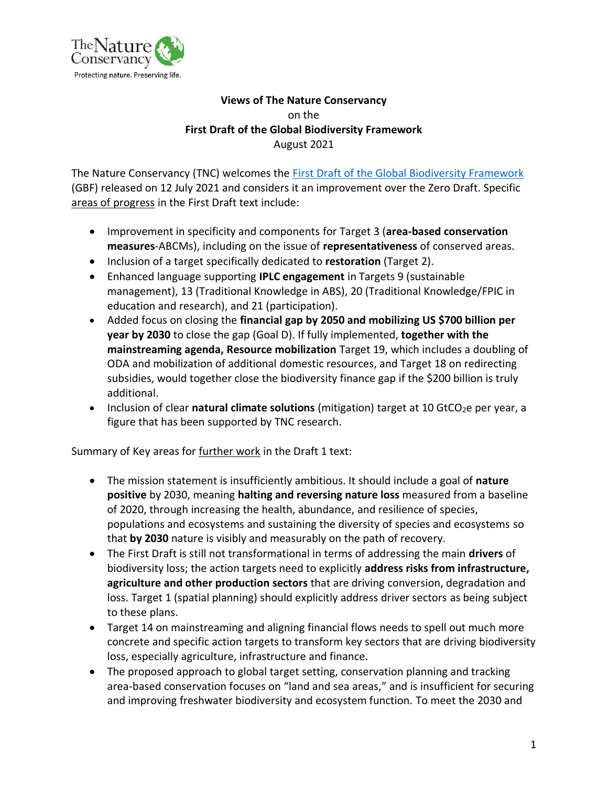

# **Views of The Nature Conservancy** on the **First Draft of the Global Biodiversity Framework** August 2021

The Nature Conservancy (TNC) welcomes the [First Draft of the Global Biodiversity Framework](https://www.cbd.int/article/draft-1-global-biodiversity-framework) (GBF) released on 12 July 2021 and considers it an improvement over the Zero Draft. Specific areas of progress in the First Draft text include:

- Improvement in specificity and components for Target 3 (**area-based conservation measures**-ABCMs), including on the issue of **representativeness** of conserved areas.
- Inclusion of a target specifically dedicated to **restoration** (Target 2).
- Enhanced language supporting **IPLC engagement** in Targets 9 (sustainable management), 13 (Traditional Knowledge in ABS), 20 (Traditional Knowledge/FPIC in education and research), and 21 (participation).
- Added focus on closing the **financial gap by 2050 and mobilizing US \$700 billion per year by 2030** to close the gap (Goal D). If fully implemented, **together with the mainstreaming agenda, Resource mobilization** Target 19, which includes a doubling of ODA and mobilization of additional domestic resources, and Target 18 on redirecting subsidies, would together close the biodiversity finance gap if the \$200 billion is truly additional.
- Inclusion of clear natural climate solutions (mitigation) target at 10 GtCO<sub>2</sub>e per year, a figure that has been supported by TNC research.

Summary of Key areas for further work in the Draft 1 text:

- The mission statement is insufficiently ambitious. It should include a goal of **nature positive** by 2030, meaning **halting and reversing nature loss** measured from a baseline of 2020, through increasing the health, abundance, and resilience of species, populations and ecosystems and sustaining the diversity of species and ecosystems so that **by 2030** nature is visibly and measurably on the path of recovery.
- The First Draft is still not transformational in terms of addressing the main **drivers** of biodiversity loss; the action targets need to explicitly **address risks from infrastructure, agriculture and other production sectors** that are driving conversion, degradation and loss. Target 1 (spatial planning) should explicitly address driver sectors as being subject to these plans.
- Target 14 on mainstreaming and aligning financial flows needs to spell out much more concrete and specific action targets to transform key sectors that are driving biodiversity loss, especially agriculture, infrastructure and finance.
- The proposed approach to global target setting, conservation planning and tracking area-based conservation focuses on "land and sea areas," and is insufficient for securing and improving freshwater biodiversity and ecosystem function. To meet the 2030 and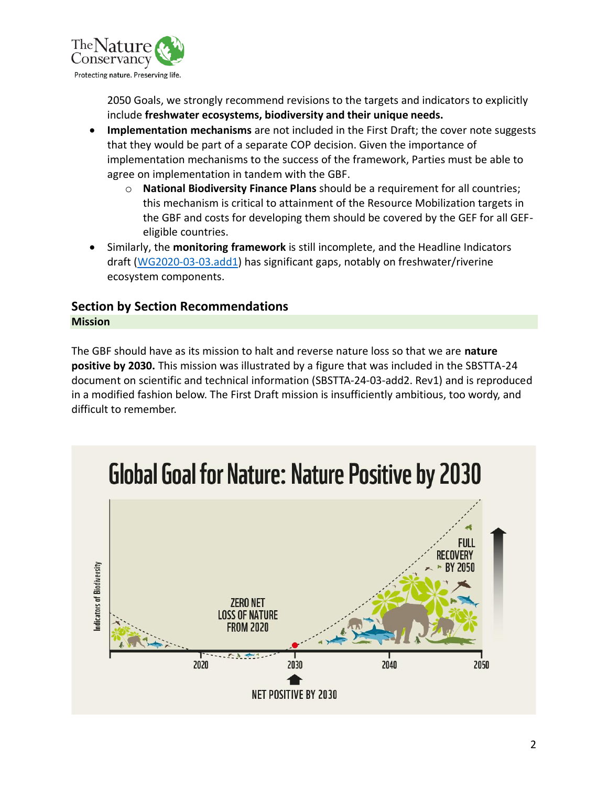

2050 Goals, we strongly recommend revisions to the targets and indicators to explicitly include **freshwater ecosystems, biodiversity and their unique needs.**

- **Implementation mechanisms** are not included in the First Draft; the cover note suggests that they would be part of a separate COP decision. Given the importance of implementation mechanisms to the success of the framework, Parties must be able to agree on implementation in tandem with the GBF.
	- o **National Biodiversity Finance Plans** should be a requirement for all countries; this mechanism is critical to attainment of the Resource Mobilization targets in the GBF and costs for developing them should be covered by the GEF for all GEFeligible countries.
- Similarly, the **monitoring framework** is still incomplete, and the Headline Indicators draft [\(WG2020-03-03.add1\)](https://www.cbd.int/doc/c/914a/eca3/24ad42235033f031badf61b1/wg2020-03-03-en.pdf) has significant gaps, notably on freshwater/riverine ecosystem components.

# **Section by Section Recommendations**

# **Mission**

The GBF should have as its mission to halt and reverse nature loss so that we are **nature positive by 2030.** This mission was illustrated by a figure that was included in the SBSTTA-24 document on scientific and technical information (SBSTTA-24-03-add2. Rev1) and is reproduced in a modified fashion below. The First Draft mission is insufficiently ambitious, too wordy, and difficult to remember.



# **Global Goal for Nature: Nature Positive by 2030**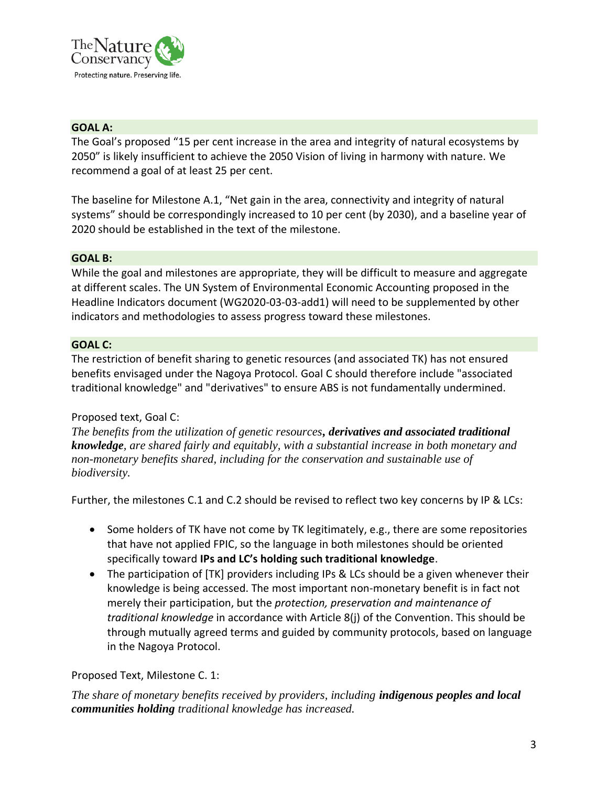

# **GOAL A:**

The Goal's proposed "15 per cent increase in the area and integrity of natural ecosystems by 2050" is likely insufficient to achieve the 2050 Vision of living in harmony with nature. We recommend a goal of at least 25 per cent.

The baseline for Milestone A.1, "Net gain in the area, connectivity and integrity of natural systems" should be correspondingly increased to 10 per cent (by 2030), and a baseline year of 2020 should be established in the text of the milestone.

# **GOAL B:**

While the goal and milestones are appropriate, they will be difficult to measure and aggregate at different scales. The UN System of Environmental Economic Accounting proposed in the Headline Indicators document (WG2020-03-03-add1) will need to be supplemented by other indicators and methodologies to assess progress toward these milestones.

### **GOAL C:**

The restriction of benefit sharing to genetic resources (and associated TK) has not ensured benefits envisaged under the Nagoya Protocol. Goal C should therefore include "associated traditional knowledge" and "derivatives" to ensure ABS is not fundamentally undermined.

# Proposed text, Goal C:

*The benefits from the utilization of genetic resources, derivatives and associated traditional knowledge, are shared fairly and equitably, with a substantial increase in both monetary and non-monetary benefits shared, including for the conservation and sustainable use of biodiversity.*

Further, the milestones C.1 and C.2 should be revised to reflect two key concerns by IP & LCs:

- Some holders of TK have not come by TK legitimately, e.g., there are some repositories that have not applied FPIC, so the language in both milestones should be oriented specifically toward **IPs and LC's holding such traditional knowledge**.
- The participation of [TK] providers including IPs & LCs should be a given whenever their knowledge is being accessed. The most important non-monetary benefit is in fact not merely their participation, but the *protection, preservation and maintenance of traditional knowledge* in accordance with Article 8(j) of the Convention. This should be through mutually agreed terms and guided by community protocols, based on language in the Nagoya Protocol.

# Proposed Text, Milestone C. 1:

*The share of monetary benefits received by providers, including indigenous peoples and local communities holding traditional knowledge has increased.*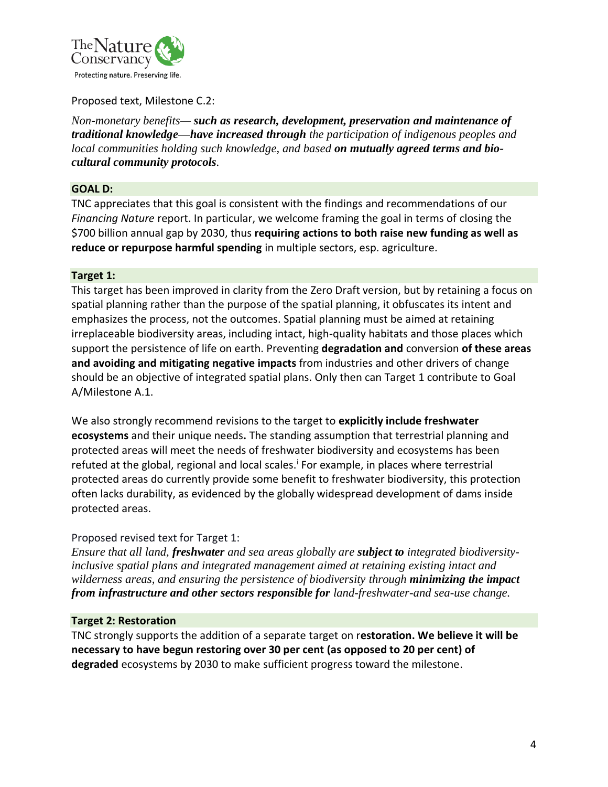

## Proposed text, Milestone C.2:

*Non-monetary benefits— such as research, development, preservation and maintenance of traditional knowledge—have increased through the participation of indigenous peoples and local communities holding such knowledge, and based on mutually agreed terms and biocultural community protocols.*

#### **GOAL D:**

TNC appreciates that this goal is consistent with the findings and recommendations of our *Financing Nature* report. In particular, we welcome framing the goal in terms of closing the \$700 billion annual gap by 2030, thus **requiring actions to both raise new funding as well as reduce or repurpose harmful spending** in multiple sectors, esp. agriculture.

#### **Target 1:**

This target has been improved in clarity from the Zero Draft version, but by retaining a focus on spatial planning rather than the purpose of the spatial planning, it obfuscates its intent and emphasizes the process, not the outcomes. Spatial planning must be aimed at retaining irreplaceable biodiversity areas, including intact, high-quality habitats and those places which support the persistence of life on earth. Preventing **degradation and** conversion **of these areas and avoiding and mitigating negative impacts** from industries and other drivers of change should be an objective of integrated spatial plans. Only then can Target 1 contribute to Goal A/Milestone A.1.

We also strongly recommend revisions to the target to **explicitly include freshwater ecosystems** and their unique needs**.** The standing assumption that terrestrial planning and protected areas will meet the needs of freshwater biodiversity and ecosystems has been refuted at the global, regional and local scales.<sup>i</sup> For example, in places where terrestrial protected areas do currently provide some benefit to freshwater biodiversity, this protection often lacks durability, as evidenced by the globally widespread development of dams inside protected areas.

#### Proposed revised text for Target 1:

*Ensure that all land, freshwater and sea areas globally are subject to integrated biodiversityinclusive spatial plans and integrated management aimed at retaining existing intact and wilderness areas, and ensuring the persistence of biodiversity through minimizing the impact from infrastructure and other sectors responsible for land-freshwater-and sea-use change.*

#### **Target 2: Restoration**

TNC strongly supports the addition of a separate target on r**estoration. We believe it will be necessary to have begun restoring over 30 per cent (as opposed to 20 per cent) of degraded** ecosystems by 2030 to make sufficient progress toward the milestone.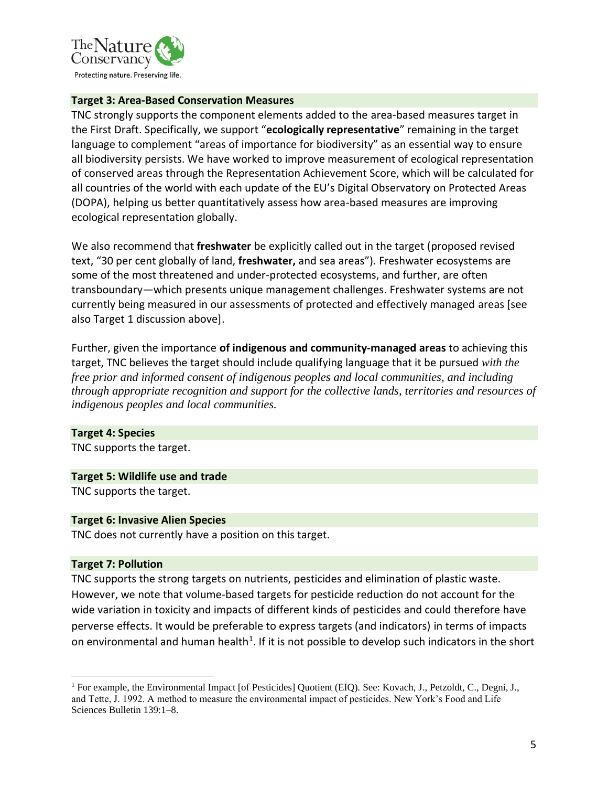

#### **Target 3: Area-Based Conservation Measures**

TNC strongly supports the component elements added to the area-based measures target in the First Draft. Specifically, we support "**ecologically representative**" remaining in the target language to complement "areas of importance for biodiversity" as an essential way to ensure all biodiversity persists. We have worked to improve measurement of ecological representation of conserved areas through the Representation Achievement Score, which will be calculated for all countries of the world with each update of the EU's Digital Observatory on Protected Areas (DOPA), helping us better quantitatively assess how area-based measures are improving ecological representation globally.

We also recommend that **freshwater** be explicitly called out in the target (proposed revised text, "30 per cent globally of land, **freshwater,** and sea areas"). Freshwater ecosystems are some of the most threatened and under-protected ecosystems, and further, are often transboundary—which presents unique management challenges. Freshwater systems are not currently being measured in our assessments of protected and effectively managed areas [see also Target 1 discussion above].

Further, given the importance **of indigenous and community-managed areas** to achieving this target, TNC believes the target should include qualifying language that it be pursued *with the free prior and informed consent of indigenous peoples and local communities, and including through appropriate recognition and support for the collective lands, territories and resources of indigenous peoples and local communities.*

# **Target 4: Species**

TNC supports the target.

# **Target 5: Wildlife use and trade**

TNC supports the target.

#### **Target 6: Invasive Alien Species**

TNC does not currently have a position on this target.

#### **Target 7: Pollution**

TNC supports the strong targets on nutrients, pesticides and elimination of plastic waste. However, we note that volume-based targets for pesticide reduction do not account for the wide variation in toxicity and impacts of different kinds of pesticides and could therefore have perverse effects. It would be preferable to express targets (and indicators) in terms of impacts on environmental and human health<sup>1</sup>. If it is not possible to develop such indicators in the short

<sup>1</sup> For example, the Environmental Impact [of Pesticides] Quotient (EIQ). See: Kovach, J., Petzoldt, C., Degni, J., and Tette, J. 1992. A method to measure the environmental impact of pesticides. New York's Food and Life Sciences Bulletin 139:1–8.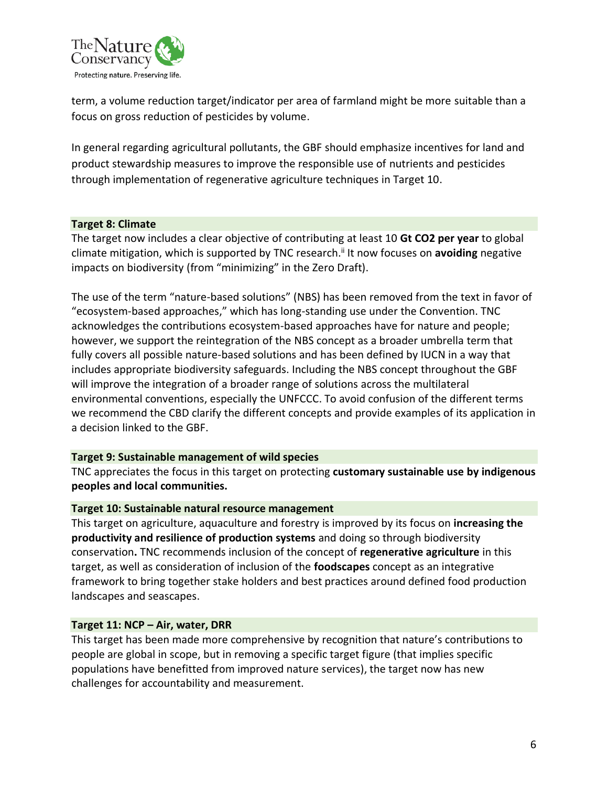

term, a volume reduction target/indicator per area of farmland might be more suitable than a focus on gross reduction of pesticides by volume.

In general regarding agricultural pollutants, the GBF should emphasize incentives for land and product stewardship measures to improve the responsible use of nutrients and pesticides through implementation of regenerative agriculture techniques in Target 10.

#### **Target 8: Climate**

The target now includes a clear objective of contributing at least 10 **Gt CO2 per year** to global climate mitigation, which is supported by TNC research.<sup>ii</sup> It now focuses on avoiding negative impacts on biodiversity (from "minimizing" in the Zero Draft).

The use of the term "nature-based solutions" (NBS) has been removed from the text in favor of "ecosystem-based approaches," which has long-standing use under the Convention. TNC acknowledges the contributions ecosystem-based approaches have for nature and people; however, we support the reintegration of the NBS concept as a broader umbrella term that fully covers all possible nature-based solutions and has been defined by IUCN in a way that includes appropriate biodiversity safeguards. Including the NBS concept throughout the GBF will improve the integration of a broader range of solutions across the multilateral environmental conventions, especially the UNFCCC. To avoid confusion of the different terms we recommend the CBD clarify the different concepts and provide examples of its application in a decision linked to the GBF.

#### **Target 9: Sustainable management of wild species**

TNC appreciates the focus in this target on protecting **customary sustainable use by indigenous peoples and local communities.**

#### **Target 10: Sustainable natural resource management**

This target on agriculture, aquaculture and forestry is improved by its focus on **increasing the productivity and resilience of production systems** and doing so through biodiversity conservation**.** TNC recommends inclusion of the concept of **regenerative agriculture** in this target, as well as consideration of inclusion of the **foodscapes** concept as an integrative framework to bring together stake holders and best practices around defined food production landscapes and seascapes.

#### **Target 11: NCP – Air, water, DRR**

This target has been made more comprehensive by recognition that nature's contributions to people are global in scope, but in removing a specific target figure (that implies specific populations have benefitted from improved nature services), the target now has new challenges for accountability and measurement.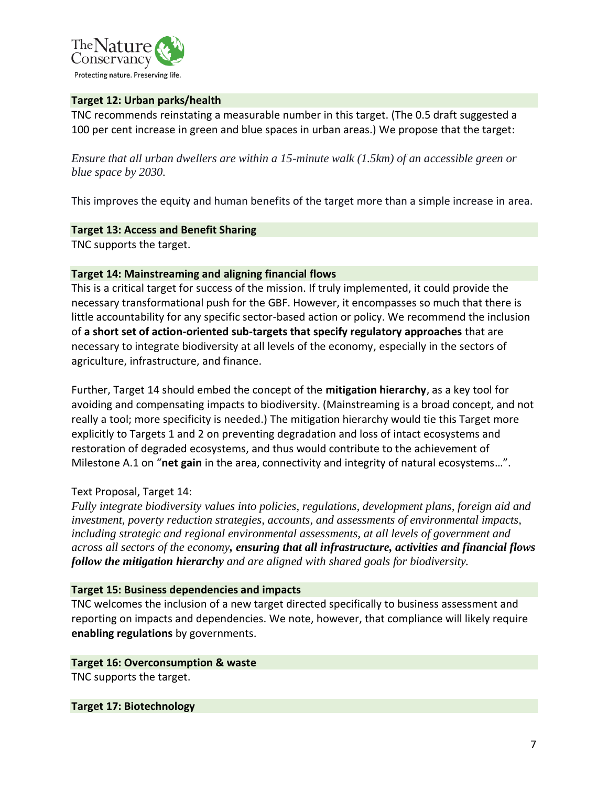

## **Target 12: Urban parks/health**

TNC recommends reinstating a measurable number in this target. (The 0.5 draft suggested a 100 per cent increase in green and blue spaces in urban areas.) We propose that the target:

*Ensure that all urban dwellers are within a 15-minute walk (1.5km) of an accessible green or blue space by 2030.*

This improves the equity and human benefits of the target more than a simple increase in area.

# **Target 13: Access and Benefit Sharing**

TNC supports the target.

# **Target 14: Mainstreaming and aligning financial flows**

This is a critical target for success of the mission. If truly implemented, it could provide the necessary transformational push for the GBF. However, it encompasses so much that there is little accountability for any specific sector-based action or policy. We recommend the inclusion of **a short set of action-oriented sub-targets that specify regulatory approaches** that are necessary to integrate biodiversity at all levels of the economy, especially in the sectors of agriculture, infrastructure, and finance.

Further, Target 14 should embed the concept of the **mitigation hierarchy**, as a key tool for avoiding and compensating impacts to biodiversity. (Mainstreaming is a broad concept, and not really a tool; more specificity is needed.) The mitigation hierarchy would tie this Target more explicitly to Targets 1 and 2 on preventing degradation and loss of intact ecosystems and restoration of degraded ecosystems, and thus would contribute to the achievement of Milestone A.1 on "**net gain** in the area, connectivity and integrity of natural ecosystems…".

# Text Proposal, Target 14:

*Fully integrate biodiversity values into policies, regulations, development plans, foreign aid and investment, poverty reduction strategies, accounts, and assessments of environmental impacts, including strategic and regional environmental assessments, at all levels of government and across all sectors of the economy, ensuring that all infrastructure, activities and financial flows follow the mitigation hierarchy and are aligned with shared goals for biodiversity.*

#### **Target 15: Business dependencies and impacts**

TNC welcomes the inclusion of a new target directed specifically to business assessment and reporting on impacts and dependencies. We note, however, that compliance will likely require **enabling regulations** by governments.

#### **Target 16: Overconsumption & waste**

TNC supports the target.

**Target 17: Biotechnology**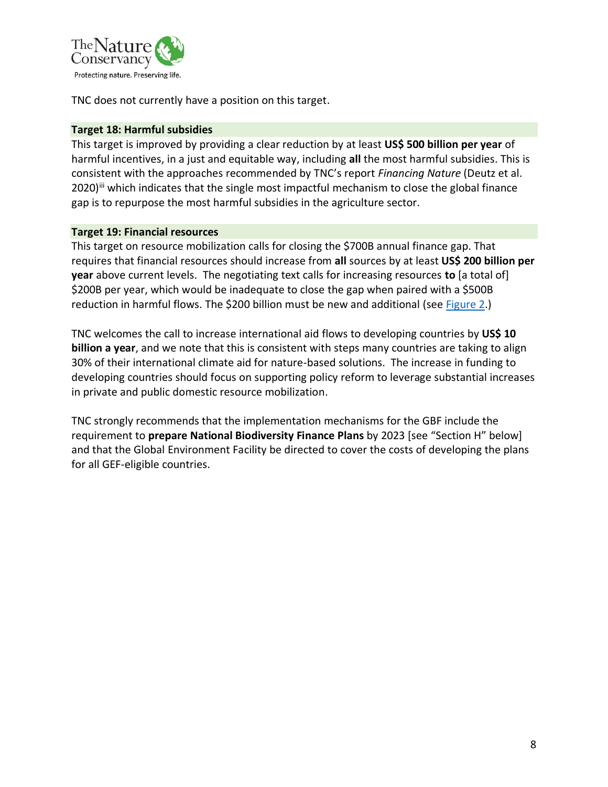

TNC does not currently have a position on this target.

#### **Target 18: Harmful subsidies**

This target is improved by providing a clear reduction by at least **US\$ 500 billion per year** of harmful incentives, in a just and equitable way, including **all** the most harmful subsidies. This is consistent with the approaches recommended by TNC's report *Financing Nature* (Deutz et al. 2020)<sup>iii</sup> which indicates that the single most impactful mechanism to close the global finance gap is to repurpose the most harmful subsidies in the agriculture sector.

#### **Target 19: Financial resources**

This target on resource mobilization calls for closing the \$700B annual finance gap. That requires that financial resources should increase from **all** sources by at least **US\$ 200 billion per year** above current levels.The negotiating text calls for increasing resources **to** [a total of] \$200B per year, which would be inadequate to close the gap when paired with a \$500B reduction in harmful flows. The \$200 billion must be new and additional (see [Figure 2.](#page-8-0))

TNC welcomes the call to increase international aid flows to developing countries by **US\$ 10 billion a year**, and we note that this is consistent with steps many countries are taking to align 30% of their international climate aid for nature-based solutions. The increase in funding to developing countries should focus on supporting policy reform to leverage substantial increases in private and public domestic resource mobilization.

TNC strongly recommends that the implementation mechanisms for the GBF include the requirement to **prepare National Biodiversity Finance Plans** by 2023 [see "Section H" below] and that the Global Environment Facility be directed to cover the costs of developing the plans for all GEF-eligible countries.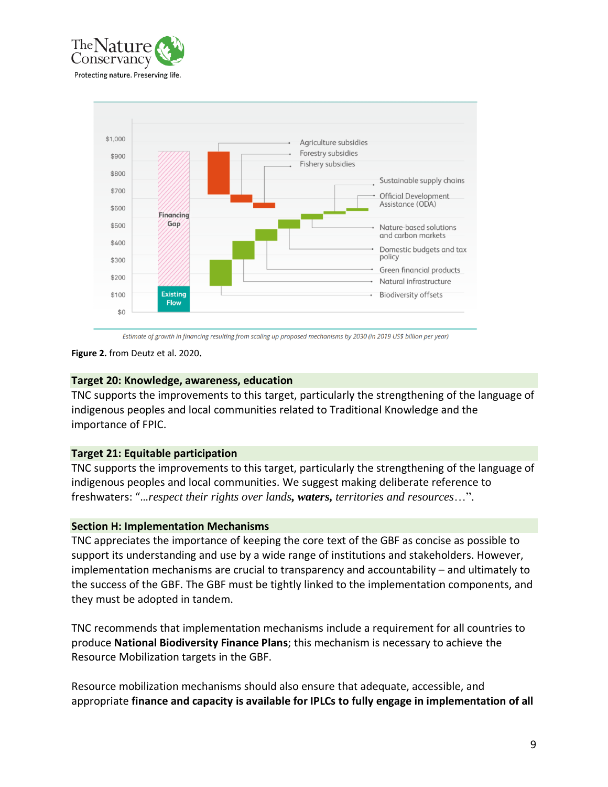



Estimate of growth in financing resulting from scaling up proposed mechanisms by 2030 (in 2019 US\$ billion per year)

<span id="page-8-0"></span>**Figure 2.** from Deutz et al. 2020.

#### **Target 20: Knowledge, awareness, education**

TNC supports the improvements to this target, particularly the strengthening of the language of indigenous peoples and local communities related to Traditional Knowledge and the importance of FPIC.

#### **Target 21: Equitable participation**

TNC supports the improvements to this target, particularly the strengthening of the language of indigenous peoples and local communities. We suggest making deliberate reference to freshwaters: "…*respect their rights over lands, waters, territories and resources*…".

#### **Section H: Implementation Mechanisms**

TNC appreciates the importance of keeping the core text of the GBF as concise as possible to support its understanding and use by a wide range of institutions and stakeholders. However, implementation mechanisms are crucial to transparency and accountability – and ultimately to the success of the GBF. The GBF must be tightly linked to the implementation components, and they must be adopted in tandem.

TNC recommends that implementation mechanisms include a requirement for all countries to produce **National Biodiversity Finance Plans**; this mechanism is necessary to achieve the Resource Mobilization targets in the GBF.

Resource mobilization mechanisms should also ensure that adequate, accessible, and appropriate **finance and capacity is available for IPLCs to fully engage in implementation of all**